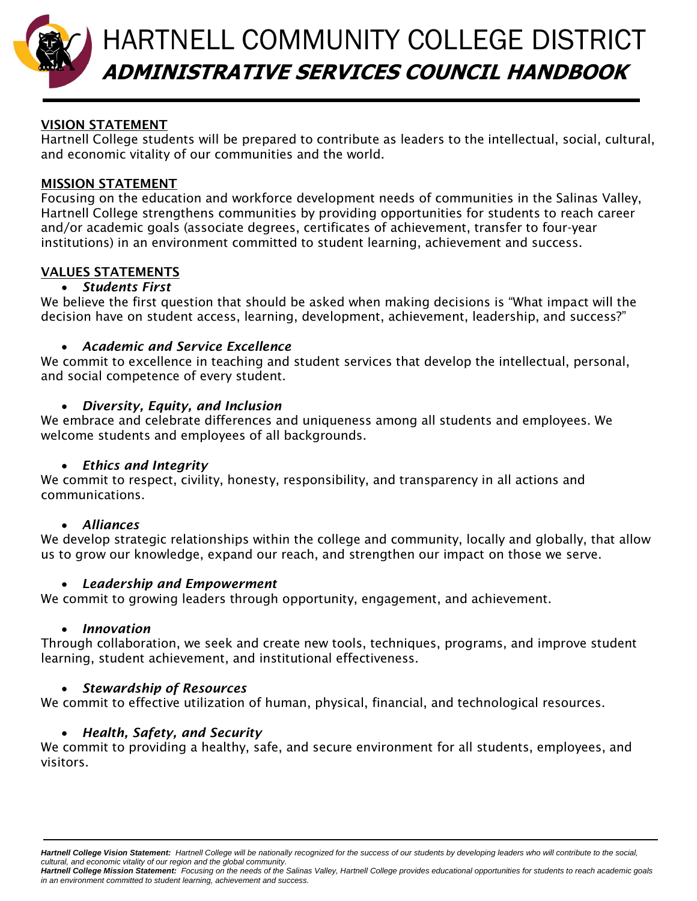

# HARTNELL COMMUNITY COLLEGE DISTRICT **A ADMINISTRATIVE SERVICES COUNCIL HANDBOOK**

# **VISION STATEMENT**

Hartnell College students will be prepared to contribute as leaders to the intellectual, social, cultural, and economic vitality of our communities and the world.

## **MISSION STATEMENT**

Focusing on the education and workforce development needs of communities in the Salinas Valley, Hartnell College strengthens communities by providing opportunities for students to reach career and/or academic goals (associate degrees, certificates of achievement, transfer to four-year institutions) in an environment committed to student learning, achievement and success.

# **VALUES STATEMENTS**

# *Students First*

We believe the first question that should be asked when making decisions is "What impact will the decision have on student access, learning, development, achievement, leadership, and success?"

## *Academic and Service Excellence*

We commit to excellence in teaching and student services that develop the intellectual, personal, and social competence of every student.

## *Diversity, Equity, and Inclusion*

We embrace and celebrate differences and uniqueness among all students and employees. We welcome students and employees of all backgrounds.

# *Ethics and Integrity*

We commit to respect, civility, honesty, responsibility, and transparency in all actions and communications.

## *Alliances*

We develop strategic relationships within the college and community, locally and globally, that allow us to grow our knowledge, expand our reach, and strengthen our impact on those we serve.

# *Leadership and Empowerment*

We commit to growing leaders through opportunity, engagement, and achievement.

## *Innovation*

Through collaboration, we seek and create new tools, techniques, programs, and improve student learning, student achievement, and institutional effectiveness.

# *Stewardship of Resources*

We commit to effective utilization of human, physical, financial, and technological resources.

# *Health, Safety, and Security*

We commit to providing a healthy, safe, and secure environment for all students, employees, and visitors.

*Hartnell College Mission Statement: Focusing on the needs of the Salinas Valley, Hartnell College provides educational opportunities for students to reach academic goals in an environment committed to student learning, achievement and success.*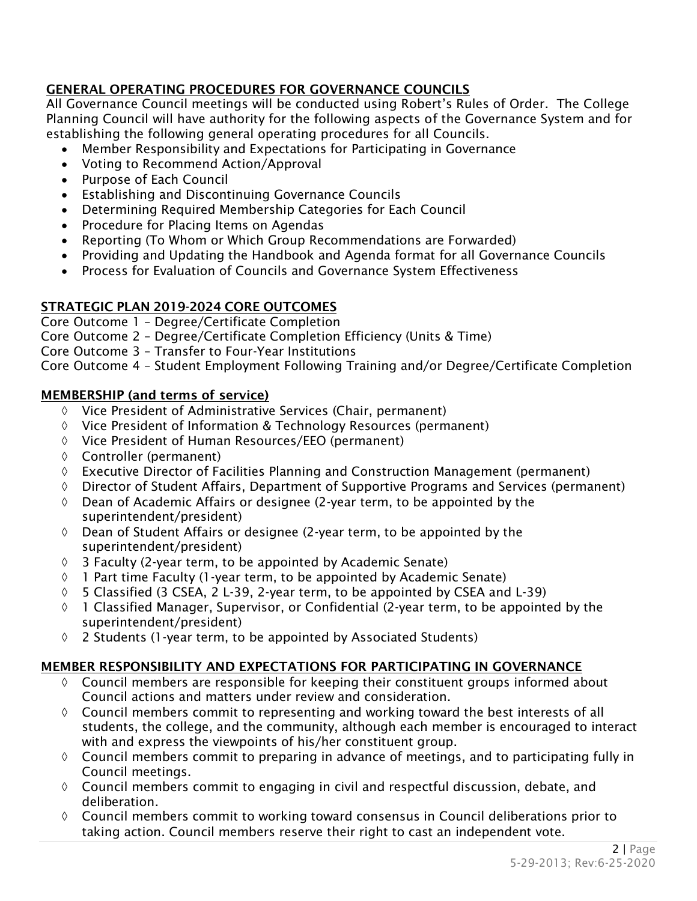# **GENERAL OPERATING PROCEDURES FOR GOVERNANCE COUNCILS**

All Governance Council meetings will be conducted using Robert's Rules of Order. The College Planning Council will have authority for the following aspects of the Governance System and for establishing the following general operating procedures for all Councils.

- Member Responsibility and Expectations for Participating in Governance
- Voting to Recommend Action/Approval
- Purpose of Each Council
- Establishing and Discontinuing Governance Councils
- Determining Required Membership Categories for Each Council
- Procedure for Placing Items on Agendas
- Reporting (To Whom or Which Group Recommendations are Forwarded)
- Providing and Updating the Handbook and Agenda format for all Governance Councils
- Process for Evaluation of Councils and Governance System Effectiveness

# **STRATEGIC PLAN 2019-2024 CORE OUTCOMES**

- Core Outcome 1 Degree/Certificate Completion
- Core Outcome 2 Degree/Certificate Completion Efficiency (Units & Time)
- Core Outcome 3 Transfer to Four-Year Institutions

Core Outcome 4 – Student Employment Following Training and/or Degree/Certificate Completion

# **MEMBERSHIP (and terms of service)**

- $\Diamond$  Vice President of Administrative Services (Chair, permanent)
- Vice President of Information & Technology Resources (permanent)
- $\Diamond$  Vice President of Human Resources/EEO (permanent)
- $\lozenge$  Controller (permanent)
- $\Diamond$  Executive Director of Facilities Planning and Construction Management (permanent)
- $\Diamond$  Director of Student Affairs, Department of Supportive Programs and Services (permanent)
- $\Diamond$  Dean of Academic Affairs or designee (2-year term, to be appointed by the superintendent/president)
- $\Diamond$  Dean of Student Affairs or designee (2-year term, to be appointed by the superintendent/president)
- $\Diamond$  3 Faculty (2-year term, to be appointed by Academic Senate)
- $\Diamond$  1 Part time Faculty (1-year term, to be appointed by Academic Senate)
- $\lozenge$  5 Classified (3 CSEA, 2 L-39, 2-year term, to be appointed by CSEA and L-39)
- $\Diamond$  1 Classified Manager, Supervisor, or Confidential (2-year term, to be appointed by the superintendent/president)
- 2 Students (1-year term, to be appointed by Associated Students)

# **MEMBER RESPONSIBILITY AND EXPECTATIONS FOR PARTICIPATING IN GOVERNANCE**

- $\lozenge$  Council members are responsible for keeping their constituent groups informed about Council actions and matters under review and consideration.
- $\Diamond$  Council members commit to representing and working toward the best interests of all students, the college, and the community, although each member is encouraged to interact with and express the viewpoints of his/her constituent group.
- $\lozenge$  Council members commit to preparing in advance of meetings, and to participating fully in Council meetings.
- $\Diamond$  Council members commit to engaging in civil and respectful discussion, debate, and deliberation.
- $\Diamond$  Council members commit to working toward consensus in Council deliberations prior to taking action. Council members reserve their right to cast an independent vote.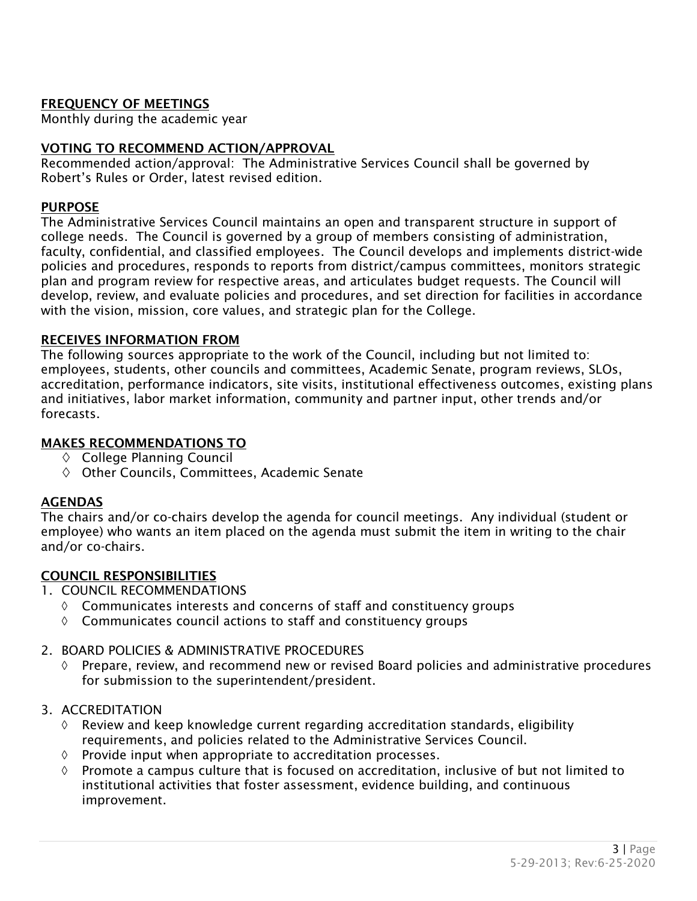# **FREQUENCY OF MEETINGS**

Monthly during the academic year

## **VOTING TO RECOMMEND ACTION/APPROVAL**

Recommended action/approval: The Administrative Services Council shall be governed by Robert's Rules or Order, latest revised edition.

#### **PURPOSE**

The Administrative Services Council maintains an open and transparent structure in support of college needs. The Council is governed by a group of members consisting of administration, faculty, confidential, and classified employees. The Council develops and implements district-wide policies and procedures, responds to reports from district/campus committees, monitors strategic plan and program review for respective areas, and articulates budget requests. The Council will develop, review, and evaluate policies and procedures, and set direction for facilities in accordance with the vision, mission, core values, and strategic plan for the College.

#### **RECEIVES INFORMATION FROM**

The following sources appropriate to the work of the Council, including but not limited to: employees, students, other councils and committees, Academic Senate, program reviews, SLOs, accreditation, performance indicators, site visits, institutional effectiveness outcomes, existing plans and initiatives, labor market information, community and partner input, other trends and/or forecasts.

#### **MAKES RECOMMENDATIONS TO**

- $\diamond$  College Planning Council
- $\diamond$  Other Councils, Committees, Academic Senate

## **AGENDAS**

The chairs and/or co-chairs develop the agenda for council meetings. Any individual (student or employee) who wants an item placed on the agenda must submit the item in writing to the chair and/or co-chairs.

## **COUNCIL RESPONSIBILITIES**

- 1. COUNCIL RECOMMENDATIONS
	- $\Diamond$  Communicates interests and concerns of staff and constituency groups
	- $\lozenge$  Communicates council actions to staff and constituency groups

## 2. BOARD POLICIES & ADMINISTRATIVE PROCEDURES

 $\Diamond$  Prepare, review, and recommend new or revised Board policies and administrative procedures for submission to the superintendent/president.

## 3. ACCREDITATION

- $\Diamond$  Review and keep knowledge current regarding accreditation standards, eligibility requirements, and policies related to the Administrative Services Council.
- $\Diamond$  Provide input when appropriate to accreditation processes.
- $\Diamond$  Promote a campus culture that is focused on accreditation, inclusive of but not limited to institutional activities that foster assessment, evidence building, and continuous improvement.